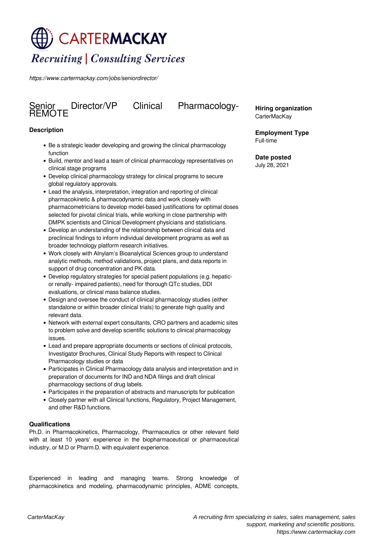# **CARTERMACKAY Recruiting | Consulting Services**

*https://www.cartermackay.com/jobs/seniordirector/*

# Senior<br>REMOTE

Director/VP Clinical Pharmacology-

## **Description**

- Be a strategic leader developing and growing the clinical pharmacology function
- Build, mentor and lead a team of clinical pharmacology representatives on clinical stage programs
- Develop clinical pharmacology strategy for clinical programs to secure global regulatory approvals.
- Lead the analysis, interpretation, integration and reporting of clinical pharmacokinetic & pharmacodynamic data and work closely with pharmacometricians to develop model-based justifications for optimal doses selected for pivotal clinical trials, while working in close partnership with DMPK scientists and Clinical Development physicians and statisticians.
- Develop an understanding of the relationship between clinical data and preclinical findings to inform individual development programs as well as broader technology platform research initiatives.
- Work closely with Alnylam's Bioanalytical Sciences group to understand analytic methods, method validations, project plans, and data reports in support of drug concentration and PK data.
- Develop regulatory strategies for special patient populations (e.g. hepaticor renally- impaired patients), need for thorough QTc studies, DDI evaluations, or clinical mass balance studies.
- Design and oversee the conduct of clinical pharmacology studies (either standalone or within broader clinical trials) to generate high quality and relevant data.
- Network with external expert consultants, CRO partners and academic sites to problem solve and develop scientific solutions to clinical pharmacology issues.
- Lead and prepare appropriate documents or sections of clinical protocols, Investigator Brochures, Clinical Study Reports with respect to Clinical Pharmacology studies or data
- Participates in Clinical Pharmacology data analysis and interpretation and in preparation of documents for IND and NDA filings and draft clinical pharmacology sections of drug labels.
- Participates in the preparation of abstracts and manuscripts for publication
- Closely partner with all Clinical functions, Regulatory, Project Management, and other R&D functions.

### **Qualifications**

Ph.D. in Pharmacokinetics, Pharmacology, Pharmaceutics or other relevant field with at least 10 years' experience in the biopharmaceutical or pharmaceutical industry, or M.D or Pharm.D. with equivalent experience.

Experienced in leading and managing teams. Strong knowledge of pharmacokinetics and modeling, pharmacodynamic principles, ADME concepts, **Hiring organization** CarterMacKay

**Employment Type** Full-time

**Date posted** July 28, 2021